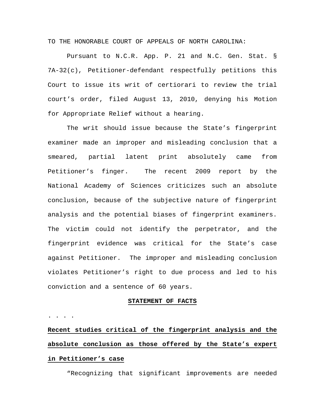TO THE HONORABLE COURT OF APPEALS OF NORTH CAROLINA:

Pursuant to N.C.R. App. P. 21 and N.C. Gen. Stat. § 7A-32(c), Petitioner-defendant respectfully petitions this Court to issue its writ of certiorari to review the trial court's order, filed August 13, 2010, denying his Motion for Appropriate Relief without a hearing.

The writ should issue because the State's fingerprint examiner made an improper and misleading conclusion that a smeared, partial latent print absolutely came from Petitioner's finger. The recent 2009 report by the National Academy of Sciences criticizes such an absolute conclusion, because of the subjective nature of fingerprint analysis and the potential biases of fingerprint examiners. The victim could not identify the perpetrator, and the fingerprint evidence was critical for the State's case against Petitioner. The improper and misleading conclusion violates Petitioner's right to due process and led to his conviction and a sentence of 60 years.

### **STATEMENT OF FACTS**

. . . .

**Recent studies critical of the fingerprint analysis and the absolute conclusion as those offered by the State's expert in Petitioner's case**

"Recognizing that significant improvements are needed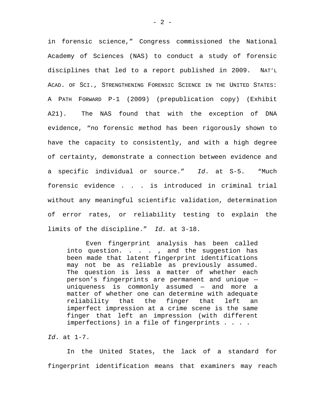in forensic science," Congress commissioned the National Academy of Sciences (NAS) to conduct a study of forensic disciplines that led to a report published in 2009. NAT'L ACAD. OF SCI., STRENGTHENING FORENSIC SCIENCE IN THE UNITED STATES: A PATH FORWARD P-1 (2009) (prepublication copy) (Exhibit A21). The NAS found that with the exception of DNA evidence, "no forensic method has been rigorously shown to have the capacity to consistently, and with a high degree of certainty, demonstrate a connection between evidence and a specific individual or source." *Id*. at S-5. "Much forensic evidence . . . is introduced in criminal trial without any meaningful scientific validation, determination of error rates, or reliability testing to explain the limits of the discipline." *Id.* at 3-18.

Even fingerprint analysis has been called into question. . . . , and the suggestion has been made that latent fingerprint identifications may not be as reliable as previously assumed. The question is less a matter of whether each person's fingerprints are permanent and unique uniqueness is commonly assumed — and more a matter of whether one can determine with adequate reliability that the finger that left an imperfect impression at a crime scene is the same finger that left an impression (with different imperfections) in a file of fingerprints . . . .

*Id*. at 1-7.

 In the United States, the lack of a standard for fingerprint identification means that examiners may reach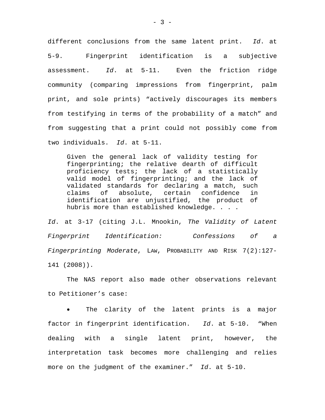different conclusions from the same latent print. *Id*. at 5-9. Fingerprint identification is a subjective assessment. *Id*. at 5-11. Even the friction ridge community (comparing impressions from fingerprint, palm print, and sole prints) "actively discourages its members from testifying in terms of the probability of a match" and from suggesting that a print could not possibly come from two individuals. *Id*. at 5-11.

Given the general lack of validity testing for fingerprinting; the relative dearth of difficult proficiency tests; the lack of a statistically valid model of fingerprinting; and the lack of validated standards for declaring a match, such claims of absolute, certain confidence in identification are unjustified, the product of hubris more than established knowledge. . . .

*Id*. at 3-17 (citing J.L. Mnookin, *The Validity of Latent Fingerprint Identification: Confessions of a Fingerprinting Moderate*, LAW, PROBABILITY AND RISK 7(2):127- 141 (2008)).

 The NAS report also made other observations relevant to Petitioner's case:

 The clarity of the latent prints is a major factor in fingerprint identification. *Id*. at 5-10. "When dealing with a single latent print, however, the interpretation task becomes more challenging and relies more on the judgment of the examiner." *Id*. at 5-10.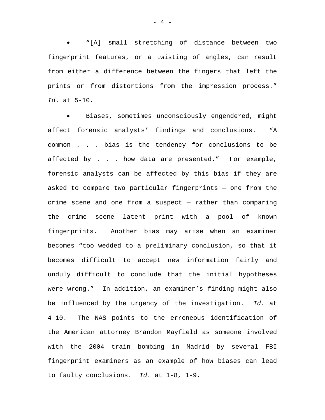"[A] small stretching of distance between two fingerprint features, or a twisting of angles, can result from either a difference between the fingers that left the prints or from distortions from the impression process." *Id*. at 5-10.

 Biases, sometimes unconsciously engendered, might affect forensic analysts' findings and conclusions. "A common . . . bias is the tendency for conclusions to be affected by . . . how data are presented." For example, forensic analysts can be affected by this bias if they are asked to compare two particular fingerprints — one from the crime scene and one from a suspect — rather than comparing the crime scene latent print with a pool of known fingerprints. Another bias may arise when an examiner becomes "too wedded to a preliminary conclusion, so that it becomes difficult to accept new information fairly and unduly difficult to conclude that the initial hypotheses were wrong." In addition, an examiner's finding might also be influenced by the urgency of the investigation. *Id*. at 4-10. The NAS points to the erroneous identification of the American attorney Brandon Mayfield as someone involved with the 2004 train bombing in Madrid by several FBI fingerprint examiners as an example of how biases can lead to faulty conclusions. *Id*. at 1-8, 1-9.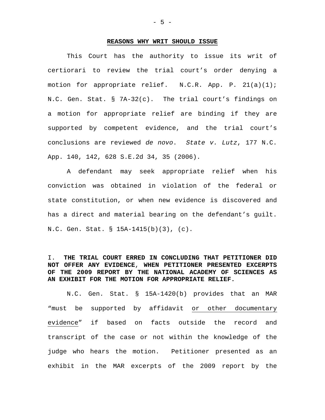### **REASONS WHY WRIT SHOULD ISSUE**

This Court has the authority to issue its writ of certiorari to review the trial court's order denying a motion for appropriate relief.  $N.C.R.$  App. P.  $21(a)(1)$ ; N.C. Gen. Stat. § 7A-32(c). The trial court's findings on a motion for appropriate relief are binding if they are supported by competent evidence, and the trial court's conclusions are reviewed *de novo*. *State v. Lutz*, 177 N.C. App. 140, 142, 628 S.E.2d 34, 35 (2006).

A defendant may seek appropriate relief when his conviction was obtained in violation of the federal or state constitution, or when new evidence is discovered and has a direct and material bearing on the defendant's guilt. N.C. Gen. Stat. § 15A-1415(b)(3), (c).

I. **THE TRIAL COURT ERRED IN CONCLUDING THAT PETITIONER DID NOT OFFER ANY EVIDENCE**, **WHEN PETITIONER PRESENTED EXCERPTS OF THE 2009 REPORT BY THE NATIONAL ACADEMY OF SCIENCES AS AN EXHIBIT FOR THE MOTION FOR APPROPRIATE RELIEF.**

 N.C. Gen. Stat. § 15A-1420(b) provides that an MAR "must be supported by affidavit or other documentary evidence" if based on facts outside the record and transcript of the case or not within the knowledge of the judge who hears the motion. Petitioner presented as an exhibit in the MAR excerpts of the 2009 report by the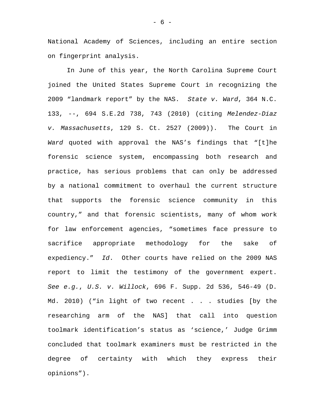National Academy of Sciences, including an entire section on fingerprint analysis.

In June of this year, the North Carolina Supreme Court joined the United States Supreme Court in recognizing the 2009 "landmark report" by the NAS. *State v. Ward*, 364 N.C. 133, --, 694 S.E.2d 738, 743 (2010) (citing *Melendez-Diaz v. Massachusetts*, 129 S. Ct. 2527 (2009)). The Court in *Ward* quoted with approval the NAS's findings that "[t]he forensic science system, encompassing both research and practice, has serious problems that can only be addressed by a national commitment to overhaul the current structure that supports the forensic science community in this country," and that forensic scientists, many of whom work for law enforcement agencies, "sometimes face pressure to sacrifice appropriate methodology for the sake of expediency." *Id*. Other courts have relied on the 2009 NAS report to limit the testimony of the government expert. *See e.g.*, *U.S. v. Willock*, 696 F. Supp. 2d 536, 546-49 (D. Md. 2010) ("in light of two recent . . . studies [by the researching arm of the NAS] that call into question toolmark identification's status as 'science,' Judge Grimm concluded that toolmark examiners must be restricted in the degree of certainty with which they express their opinions").

- 6 -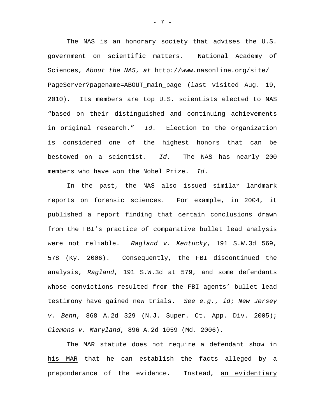The NAS is an honorary society that advises the U.S. government on scientific matters. National Academy of Sciences, *About the NAS*, *at* http://www.nasonline.org/site/ PageServer?pagename=ABOUT\_main\_page (last visited Aug. 19, 2010). Its members are top U.S. scientists elected to NAS "based on their distinguished and continuing achievements in original research." *Id*. Election to the organization is considered one of the highest honors that can be bestowed on a scientist. *Id*. The NAS has nearly 200 members who have won the Nobel Prize. *Id*.

 In the past, the NAS also issued similar landmark reports on forensic sciences. For example, in 2004, it published a report finding that certain conclusions drawn from the FBI's practice of comparative bullet lead analysis were not reliable. *Ragland v. Kentucky*, 191 S.W.3d 569, 578 (Ky. 2006). Consequently, the FBI discontinued the analysis, *Ragland*, 191 S.W.3d at 579, and some defendants whose convictions resulted from the FBI agents' bullet lead testimony have gained new trials. *See e.g.*, *id*; *New Jersey v. Behn*, 868 A.2d 329 (N.J. Super. Ct. App. Div. 2005); *Clemons v. Maryland*, 896 A.2d 1059 (Md. 2006).

The MAR statute does not require a defendant show in his MAR that he can establish the facts alleged by a preponderance of the evidence. Instead, an evidentiary

- 7 -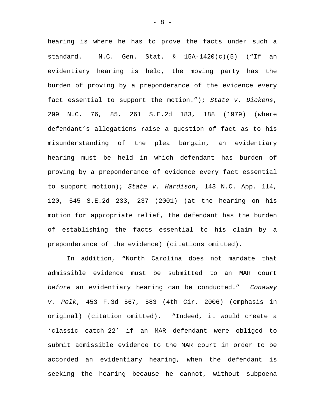hearing is where he has to prove the facts under such a standard.  $N.C.$  Gen. Stat.  $\S$  15A-1420(c)(5) ("If an evidentiary hearing is held, the moving party has the burden of proving by a preponderance of the evidence every fact essential to support the motion."); *State v. Dickens*, 299 N.C. 76, 85, 261 S.E.2d 183, 188 (1979) (where defendant's allegations raise a question of fact as to his misunderstanding of the plea bargain, an evidentiary hearing must be held in which defendant has burden of proving by a preponderance of evidence every fact essential to support motion); *State v. Hardison*, 143 N.C. App. 114, 120, 545 S.E.2d 233, 237 (2001) (at the hearing on his motion for appropriate relief, the defendant has the burden of establishing the facts essential to his claim by a preponderance of the evidence) (citations omitted).

In addition, "North Carolina does not mandate that admissible evidence must be submitted to an MAR court *before* an evidentiary hearing can be conducted." *Conaway v. Polk*, 453 F.3d 567, 583 (4th Cir. 2006) (emphasis in original) (citation omitted). "Indeed, it would create a 'classic catch-22' if an MAR defendant were obliged to submit admissible evidence to the MAR court in order to be accorded an evidentiary hearing, when the defendant is seeking the hearing because he cannot, without subpoena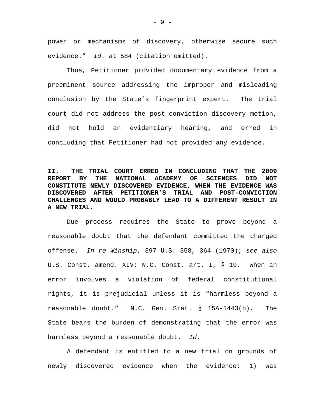power or mechanisms of discovery, otherwise secure such evidence." *Id*. at 584 (citation omitted).

Thus, Petitioner provided documentary evidence from a preeminent source addressing the improper and misleading conclusion by the State's fingerprint expert. The trial court did not address the post-conviction discovery motion, did not hold an evidentiary hearing, and erred in concluding that Petitioner had not provided any evidence.

## **II. THE TRIAL COURT ERRED IN CONCLUDING THAT THE 2009 REPORT BY THE NATIONAL ACADEMY OF SCIENCES DID NOT CONSTITUTE NEWLY DISCOVERED EVIDENCE, WHEN THE EVIDENCE WAS DISCOVERED AFTER PETITIONER'S TRIAL AND POST-CONVICTION CHALLENGES AND WOULD PROBABLY LEAD TO A DIFFERENT RESULT IN A NEW TRIAL**.

Due process requires the State to prove beyond a reasonable doubt that the defendant committed the charged offense. *In re Winship*, 397 U.S. 358, 364 (1970); *see also*  U.S. Const. amend. XIV; N.C. Const. art. I, § 19. When an error involves a violation of federal constitutional rights, it is prejudicial unless it is "harmless beyond a reasonable doubt." N.C. Gen. Stat. § 15A-1443(b). The State bears the burden of demonstrating that the error was harmless beyond a reasonable doubt. *Id*.

 A defendant is entitled to a new trial on grounds of newly discovered evidence when the evidence: 1) was

- 9 -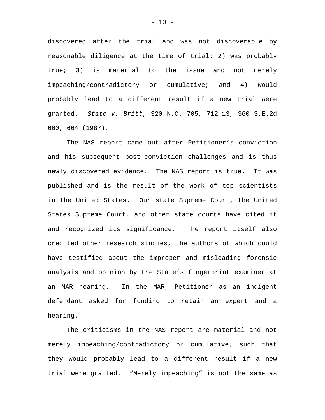discovered after the trial and was not discoverable by reasonable diligence at the time of trial; 2) was probably true; 3) is material to the issue and not merely impeaching/contradictory or cumulative; and 4) would probably lead to a different result if a new trial were granted. *State v. Britt*, 320 N.C. 705, 712-13, 360 S.E.2d 660, 664 (1987).

The NAS report came out after Petitioner's conviction and his subsequent post-conviction challenges and is thus newly discovered evidence. The NAS report is true. It was published and is the result of the work of top scientists in the United States. Our state Supreme Court, the United States Supreme Court, and other state courts have cited it and recognized its significance. The report itself also credited other research studies, the authors of which could have testified about the improper and misleading forensic analysis and opinion by the State's fingerprint examiner at an MAR hearing. In the MAR, Petitioner as an indigent defendant asked for funding to retain an expert and a hearing.

 The criticisms in the NAS report are material and not merely impeaching/contradictory or cumulative, such that they would probably lead to a different result if a new trial were granted. "Merely impeaching" is not the same as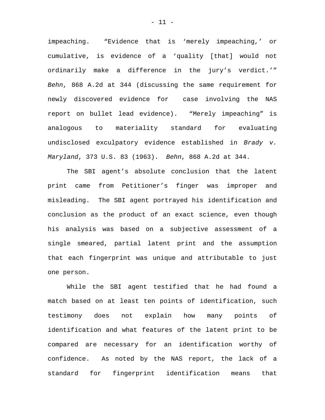impeaching. "Evidence that is 'merely impeaching,' or cumulative, is evidence of a 'quality [that] would not ordinarily make a difference in the jury's verdict.'" *Behn*, 868 A.2d at 344 (discussing the same requirement for newly discovered evidence for case involving the NAS report on bullet lead evidence). "Merely impeaching" is analogous to materiality standard for evaluating undisclosed exculpatory evidence established in *Brady v. Maryland*, 373 U.S. 83 (1963). *Behn*, 868 A.2d at 344.

 The SBI agent's absolute conclusion that the latent print came from Petitioner's finger was improper and misleading. The SBI agent portrayed his identification and conclusion as the product of an exact science, even though his analysis was based on a subjective assessment of a single smeared, partial latent print and the assumption that each fingerprint was unique and attributable to just one person.

While the SBI agent testified that he had found a match based on at least ten points of identification, such testimony does not explain how many points of identification and what features of the latent print to be compared are necessary for an identification worthy of confidence. As noted by the NAS report, the lack of a standard for fingerprint identification means that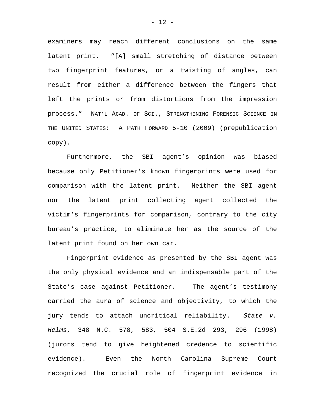examiners may reach different conclusions on the same latent print. "[A] small stretching of distance between two fingerprint features, or a twisting of angles, can result from either a difference between the fingers that left the prints or from distortions from the impression process." NAT'L ACAD. OF SCI., STRENGTHENING FORENSIC SCIENCE IN THE UNITED STATES: A PATH FORWARD 5-10 (2009) (prepublication copy).

Furthermore, the SBI agent's opinion was biased because only Petitioner's known fingerprints were used for comparison with the latent print. Neither the SBI agent nor the latent print collecting agent collected the victim's fingerprints for comparison, contrary to the city bureau's practice, to eliminate her as the source of the latent print found on her own car.

Fingerprint evidence as presented by the SBI agent was the only physical evidence and an indispensable part of the State's case against Petitioner. The agent's testimony carried the aura of science and objectivity, to which the jury tends to attach uncritical reliability. *State v. Helms*, 348 N.C. 578, 583, 504 S.E.2d 293, 296 (1998) (jurors tend to give heightened credence to scientific evidence). Even the North Carolina Supreme Court recognized the crucial role of fingerprint evidence in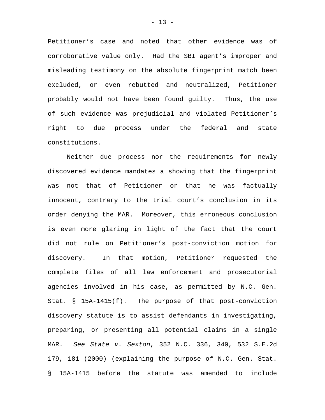Petitioner's case and noted that other evidence was of corroborative value only. Had the SBI agent's improper and misleading testimony on the absolute fingerprint match been excluded, or even rebutted and neutralized, Petitioner probably would not have been found guilty. Thus, the use of such evidence was prejudicial and violated Petitioner's right to due process under the federal and state constitutions.

Neither due process nor the requirements for newly discovered evidence mandates a showing that the fingerprint was not that of Petitioner or that he was factually innocent, contrary to the trial court's conclusion in its order denying the MAR. Moreover, this erroneous conclusion is even more glaring in light of the fact that the court did not rule on Petitioner's post-conviction motion for discovery. In that motion, Petitioner requested the complete files of all law enforcement and prosecutorial agencies involved in his case, as permitted by N.C. Gen. Stat. § 15A-1415(f). The purpose of that post-conviction discovery statute is to assist defendants in investigating, preparing, or presenting all potential claims in a single MAR. *See State v. Sexton*, 352 N.C. 336, 340, 532 S.E.2d 179, 181 (2000) (explaining the purpose of N.C. Gen. Stat. § 15A-1415 before the statute was amended to include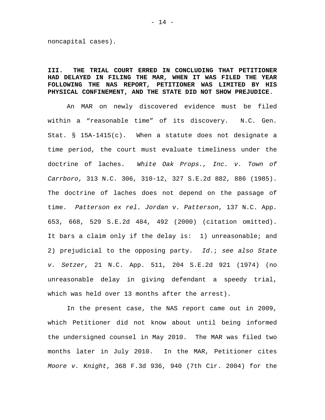noncapital cases).

### **III. THE TRIAL COURT ERRED IN CONCLUDING THAT PETITIONER HAD DELAYED IN FILING THE MAR, WHEN IT WAS FILED THE YEAR FOLLOWING THE NAS REPORT, PETITIONER WAS LIMITED BY HIS PHYSICAL CONFINEMENT, AND THE STATE DID NOT SHOW PREJUDICE**.

An MAR on newly discovered evidence must be filed within a "reasonable time" of its discovery. N.C. Gen. Stat. § 15A-1415(c). When a statute does not designate a time period, the court must evaluate timeliness under the doctrine of laches. *White Oak Props., Inc. v. Town of Carrboro*, 313 N.C. 306, 310-12, 327 S.E.2d 882, 886 (1985). The doctrine of laches does not depend on the passage of time. *Patterson ex rel. Jordan v. Patterson*, 137 N.C. App. 653, 668, 529 S.E.2d 484, 492 (2000) (citation omitted). It bars a claim only if the delay is: 1) unreasonable; and 2) prejudicial to the opposing party. *Id*.; *see also State v. Setzer*, 21 N.C. App. 511, 204 S.E.2d 921 (1974) (no unreasonable delay in giving defendant a speedy trial, which was held over 13 months after the arrest).

 In the present case, the NAS report came out in 2009, which Petitioner did not know about until being informed the undersigned counsel in May 2010. The MAR was filed two months later in July 2010. In the MAR, Petitioner cites *Moore v. Knight*, 368 F.3d 936, 940 (7th Cir. 2004) for the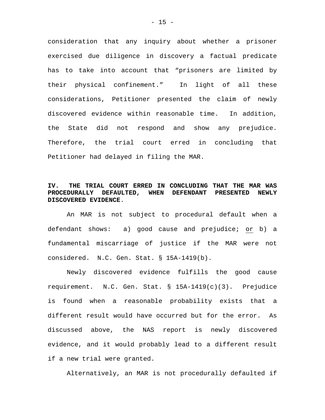consideration that any inquiry about whether a prisoner exercised due diligence in discovery a factual predicate has to take into account that "prisoners are limited by their physical confinement." In light of all these considerations, Petitioner presented the claim of newly discovered evidence within reasonable time. In addition, the State did not respond and show any prejudice. Therefore, the trial court erred in concluding that Petitioner had delayed in filing the MAR.

### **IV. THE TRIAL COURT ERRED IN CONCLUDING THAT THE MAR WAS PROCEDURALLY DEFAULTED, WHEN DEFENDANT PRESENTED NEWLY DISCOVERED EVIDENCE**.

An MAR is not subject to procedural default when a defendant shows: a) good cause and prejudice; or b) a fundamental miscarriage of justice if the MAR were not considered. N.C. Gen. Stat. § 15A-1419(b).

Newly discovered evidence fulfills the good cause requirement. N.C. Gen. Stat. § 15A-1419(c)(3). Prejudice is found when a reasonable probability exists that a different result would have occurred but for the error. As discussed above, the NAS report is newly discovered evidence, and it would probably lead to a different result if a new trial were granted.

Alternatively, an MAR is not procedurally defaulted if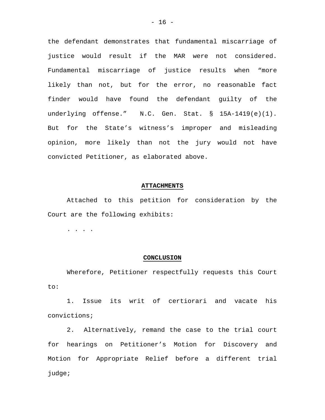the defendant demonstrates that fundamental miscarriage of justice would result if the MAR were not considered. Fundamental miscarriage of justice results when "more likely than not, but for the error, no reasonable fact finder would have found the defendant guilty of the underlying offense." N.C. Gen. Stat. § 15A-1419(e)(1). But for the State's witness's improper and misleading opinion, more likely than not the jury would not have convicted Petitioner, as elaborated above.

### **ATTACHMENTS**

Attached to this petition for consideration by the Court are the following exhibits:

. . . .

### **CONCLUSION**

Wherefore, Petitioner respectfully requests this Court to:

1. Issue its writ of certiorari and vacate his convictions;

2. Alternatively, remand the case to the trial court for hearings on Petitioner's Motion for Discovery and Motion for Appropriate Relief before a different trial judge;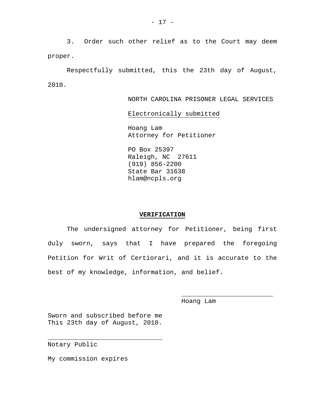3. Order such other relief as to the Court may deem proper.

Respectfully submitted, this the 23th day of August, 2010.

NORTH CAROLINA PRISONER LEGAL SERVICES

Electronically submitted

 Hoang Lam Attorney for Petitioner

 PO Box 25397 Raleigh, NC 27611 (919) 856-2200 State Bar 31638 hlam@ncpls.org

### **VERIFICATION**

The undersigned attorney for Petitioner, being first duly sworn, says that I have prepared the foregoing Petition for Writ of Certiorari, and it is accurate to the best of my knowledge, information, and belief.

 $\overline{\phantom{a}}$  , which is a set of the set of the set of the set of the set of the set of the set of the set of the set of the set of the set of the set of the set of the set of the set of the set of the set of the set of th

Hoang Lam

Sworn and subscribed before me This 23th day of August, 2010.

\_\_\_\_\_\_\_\_\_\_\_\_\_\_\_\_\_\_\_\_\_\_\_\_\_\_\_\_\_\_

Notary Public

My commission expires